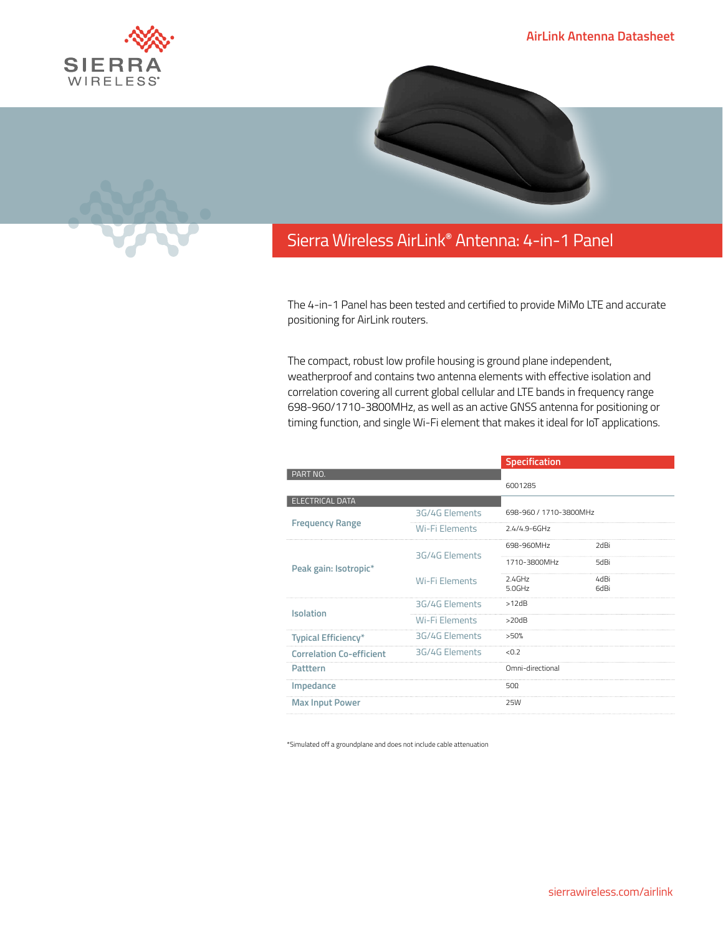



## Sierra Wireless **EMBEDDED MODULES HL SERIES** AirLink**®** Antenna: 4-in-1 Panel

The 4-in-1 Panel has been tested and certified to provide MiMo LTE and accurate positioning for AirLink routers.

The compact, robust low profile housing is ground plane independent, weatherproof and contains two antenna elements with effective isolation and correlation covering all current global cellular and LTE bands in frequency range 698-960/1710-3800MHz, as well as an active GNSS antenna for positioning or timing function, and single Wi-Fi element that makes it ideal for IoT applications.

|                                 |                       | Specification          |              |
|---------------------------------|-----------------------|------------------------|--------------|
| PART NO.                        |                       | 6001285                |              |
| <b>ELECTRICAL DATA</b>          |                       |                        |              |
| <b>Frequency Range</b>          | 3G/4G Elements        | 698-960 / 1710-3800MHz |              |
|                                 | Wi-Fi Elements        | $2.4/4.9 - 6$ GHz      |              |
| Peak gain: Isotropic*           | 3G/4G Elements        | 698-960MHz             | 2dBi         |
|                                 |                       | 1710-3800MHz           | 5dBi         |
|                                 | <b>Wi-Fi Elements</b> | $2.4$ GHz<br>5.0GHz    | 4dBi<br>6dBi |
| <b>Isolation</b>                | 3G/4G Elements        | >12dB                  |              |
|                                 | Wi-Fi Flements        | >20dB                  |              |
| <b>Typical Efficiency*</b>      | 3G/4G Elements        | >50%                   |              |
| <b>Correlation Co-efficient</b> | 3G/4G Elements        | < 0.7                  |              |
| Patttern                        |                       | Omni-directional       |              |
| Impedance                       |                       | $50\Omega$             |              |
| <b>Max Input Power</b>          |                       | 25W                    |              |

\*Simulated off a groundplane and does not include cable attenuation